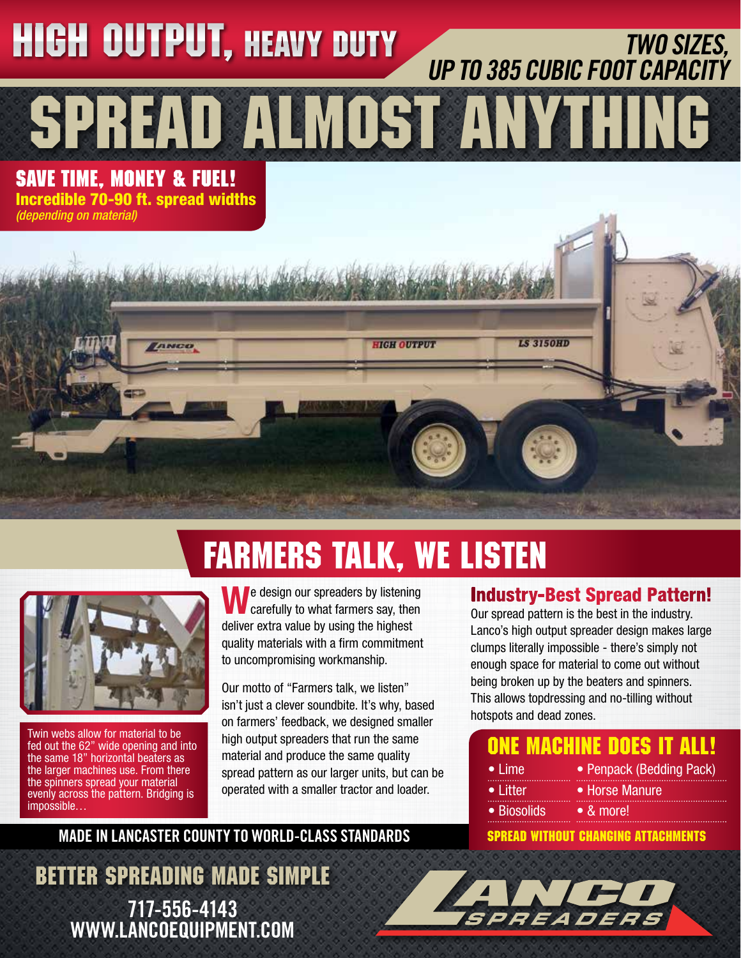### TWO SIZES, UP TO 385 CUBIC FOOT CAPACITY SPREAD ALMOST ANYTHING **SAVE TIME, MONEY & FUEL!** Incredible 70-90 ft. spread widths *(depending on material)* **HIGH OUTPUT, HEAVY DUTY**

**HIGH OUTPUT** 

## FARMERS TALK, WE LISTEN



*<u>AMER</u>* 

Twin webs allow for material to be fed out the 62" wide opening and into the same 18" horizontal beaters as the larger machines use. From there the spinners spread your material evenly across the pattern. Bridging is impossible…

We design our spreaders by listening carefully to what farmers say, then deliver extra value by using the highest quality materials with a firm commitment to uncompromising workmanship.

Our motto of "Farmers talk, we listen" isn't just a clever soundbite. It's why, based on farmers' feedback, we designed smaller high output spreaders that run the same material and produce the same quality spread pattern as our larger units, but can be operated with a smaller tractor and loader.

#### MADE IN LANCASTER COUNTY TO WORLD-CLASS STANDARDS

BETTER SPREADING MADE SIMPLE 717-556-4143 WWW.LANCOEQUIPMENT.COM

#### Industry-Best Spread Pattern!

**LS 3150HD** 

Our spread pattern is the best in the industry. Lanco's high output spreader design makes large clumps literally impossible - there's simply not enough space for material to come out without being broken up by the beaters and spinners. This allows topdressing and no-tilling without hotspots and dead zones.

#### ONE MACHINE DOES IT ALL!

- Lime • Litter
- Horse Manure

• Penpack (Bedding Pack)

- Biosolids
	- & more!

#### SPREAD WITHOUT CHANGING ATTACHMENTS